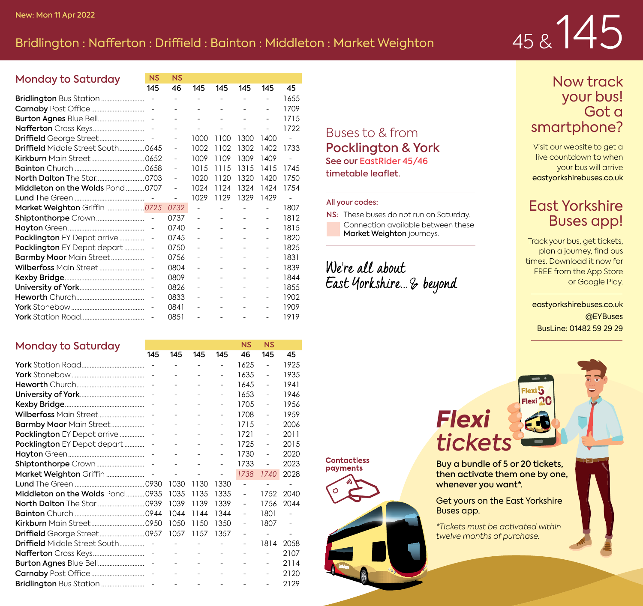## New: Mon 11 Apr 2022<br>Bridlington : Nafferton : Driffield : Bainton : Middleton : Market Weighton

NS NS

|  |  |  | 45&145 |
|--|--|--|--------|
|--|--|--|--------|

| Monday to Saturday                        | NS                       | NS             |      |                          |      |                |      |
|-------------------------------------------|--------------------------|----------------|------|--------------------------|------|----------------|------|
|                                           | 145                      | 46             | 145  | 145                      | 145  | 145            | 45   |
|                                           | $\overline{a}$           | ٠              | ٠    | ä,                       | ٠    | ÷              | 1655 |
|                                           |                          |                | ÷    | ä,                       | ÷.   | ÷              | 1709 |
|                                           | ÷,                       |                | ÷.   | ٠                        | ٠    | ۰              | 1715 |
|                                           |                          | ٠              | ä,   | $\overline{\phantom{a}}$ | ٠    | ۰              | 1722 |
|                                           |                          | $\overline{a}$ | 1000 | 1100                     | 1300 | 1400           | ä,   |
| <b>Driffield</b> Middle Street South 0645 |                          | L.             | 1002 | 1102                     | 1302 | 1402           | 1733 |
|                                           |                          | L,             | 1009 | 1109                     | 1309 | 1409           | ä,   |
|                                           |                          | L.             | 1015 | 1115                     | 1315 | 1415           | 1745 |
|                                           |                          | ٠              | 1020 | 1120                     | 1320 | 1420           | 1750 |
| Middleton on the Wolds Pond0707           |                          | L.             | 1024 | 1124                     | 1324 | 1424           | 1754 |
|                                           |                          | ä,             | 1029 | 1129                     | 1329 | 1429           | ä,   |
| Market Weighton Griffin 0725              |                          | 0732           |      | ä,                       |      | ÷              | 1807 |
|                                           | $\overline{\phantom{a}}$ | 0737           | ÷,   | ä,                       | ä,   | ٠              | 1812 |
|                                           | ÷                        | 0740           | ä,   | ä,                       | ٠    | $\overline{a}$ | 1815 |
| Pocklington EY Depot arrive               | ÷,                       | 0745           | ä,   | ä,                       | ٠    | ÷              | 1820 |
| Pocklington EY Depot depart               | ÷,                       | 0750           | ä,   | ä,                       | ٠    | $\overline{a}$ | 1825 |
| Barmby Moor Main Street                   | ÷,                       | 0756           | ä,   | ä,                       | ۰    | ÷              | 1831 |
|                                           | ÷,                       | 0804           | ä,   | ä,                       | ٠    | $\overline{a}$ | 1839 |
|                                           | ÷,                       | 0809           | ä,   | ä,                       | ۰    | ÷              | 1844 |
|                                           | ÷,                       | 0826           | ä,   | ä,                       | ٠    | $\overline{a}$ | 1855 |
|                                           | ä,                       | 0833           | ä,   | ٠                        | ٠    | ٠              | 1902 |
|                                           | $\overline{a}$           | 0841           | ۰    | ۰                        | ٠    | $\overline{a}$ | 1909 |
|                                           | ä,                       | 0851           | ä,   | ä,                       | ٠    | ٠              | 1919 |

#### Monday to Saturday

| $101189$ , to outpray,               | 145                      | 145                      | 145  | 145                      | 46   | 145            | 45   |
|--------------------------------------|--------------------------|--------------------------|------|--------------------------|------|----------------|------|
|                                      | $\overline{\phantom{a}}$ | ٠                        | ۰    | L,                       | 1625 | ۰              | 1925 |
|                                      |                          | ٠                        | ä,   | $\overline{a}$           | 1635 | ÷,             | 1935 |
|                                      |                          |                          |      | $\overline{a}$           | 1645 | ÷,             | 1941 |
|                                      | $\overline{\phantom{a}}$ | ٠                        | ۰    | ٠                        | 1653 | ÷,             | 1946 |
|                                      |                          | ٠                        | ۰    | ٠                        | 1705 | ÷,             | 1956 |
|                                      |                          |                          |      | ٠                        | 1708 | ÷              | 1959 |
| Barmby Moor Main Street              |                          |                          |      | L,                       | 1715 | ä,             | 2006 |
| <b>Pocklington</b> EY Depot arrive   |                          |                          | ٠    | ٠                        | 1721 | ٠              | 2011 |
| Pocklington EY Depot depart          |                          |                          |      | ä,                       | 1725 | ÷,             | 2015 |
|                                      | $\overline{\phantom{a}}$ |                          | ÷    | $\overline{\phantom{0}}$ | 1730 | ä,             | 2020 |
|                                      | $\sim$                   | ÷                        | ÷    | L,                       | 1733 | $\overline{a}$ | 2023 |
|                                      |                          | $\overline{a}$           |      | ÷                        | 1738 | 1740           | 2028 |
|                                      |                          | 1030                     | 1130 | 1330                     |      | ٠              | ٠    |
| Middleton on the Wolds Pond0935      |                          | 1035                     | 1135 | 1335                     | ٠    | 1752           | 2040 |
|                                      |                          | 1039                     | 1139 | 1339                     | ٠    | 1756           | 2044 |
|                                      |                          | 1044                     | 1144 | 1344                     | ٠    | 1801           | ä,   |
|                                      |                          | 1050                     | 1150 | 1350                     | ٠    | 1807           | ä,   |
|                                      |                          | 1057                     | 1157 | 1357                     | ٠    | $\overline{a}$ | ä,   |
| <b>Driffield</b> Middle Street South |                          | $\overline{\phantom{a}}$ | ٠    |                          | ٠    | 1814           | 2058 |
|                                      | $\overline{\phantom{a}}$ | ٠                        | ٠    | ٠                        | ٠    |                | 2107 |
| <b>Burton Agnes Blue Bell</b>        | $\sim$                   |                          | ٠    | ٠                        | ٠    | ۰              | 2114 |
|                                      | $\sim$                   |                          | ٠    | ٠                        | ٠    | ٠              | 2120 |
|                                      | $\sim$                   | ٠                        | ٠    | ٠                        | ٠    | ä,             | 2129 |

#### Buses to & from Pocklington & York See our EastRider 45/46 timetable leaflet.

#### All your codes:

Contactless payments

NS: These buses do not run on Saturday. Connection available between these Market Weighton journeys.

We're all about East Yorkshire... & beyond

#### Now track your bus! Got a smartphone?

Visit our website to get a live countdown to when your bus will arrive eastyorkshirebuses.co.uk

#### East Yorkshire Buses app!

Track your bus, get tickets, plan a journey, find bus times. Download it now for FREE from the App Store or Google Play.

eastyorkshirebuses.co.uk @EYBuses BusLine: 01482 59 29 29

### *Flexi tickets*





Buy a bundle of 5 or 20 tickets, then activate them one by one, whenever you want\*.

 $Flexi\overline{b}$ Flexi<sup>2</sup>

Get yours on the East Yorkshire Buses app.

*\*Tickets must be activated within twelve months of purchase.*